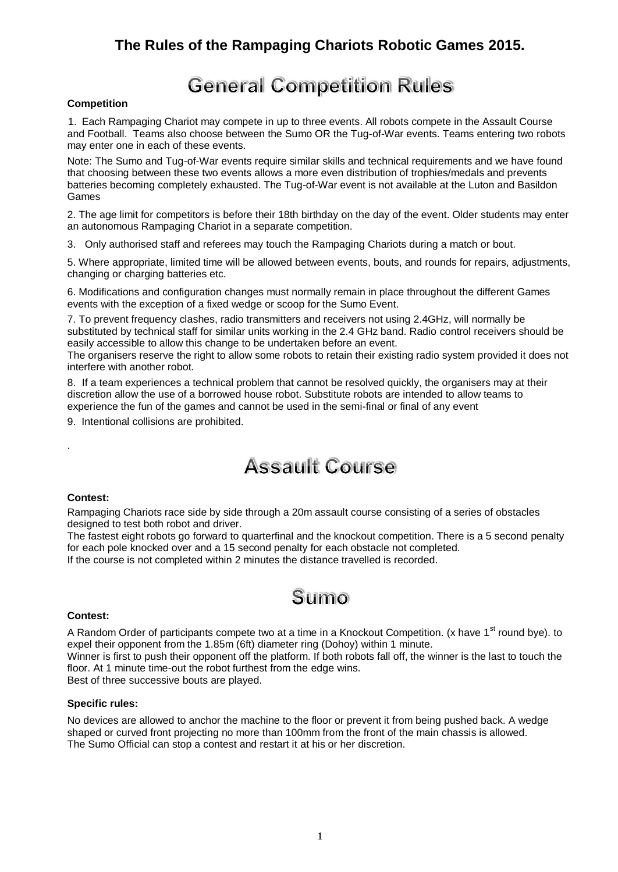### **The Rules of the Rampaging Chariots Robotic Games 2015.**

### **General Competition Rules**

#### **Competition**

1. Each Rampaging Chariot may compete in up to three events. All robots compete in the Assault Course and Football. Teams also choose between the Sumo OR the Tug-of-War events. Teams entering two robots may enter one in each of these events.

Note: The Sumo and Tug-of-War events require similar skills and technical requirements and we have found that choosing between these two events allows a more even distribution of trophies/medals and prevents batteries becoming completely exhausted. The Tug-of-War event is not available at the Luton and Basildon Games

2. The age limit for competitors is before their 18th birthday on the day of the event. Older students may enter an autonomous Rampaging Chariot in a separate competition.

3. Only authorised staff and referees may touch the Rampaging Chariots during a match or bout.

5. Where appropriate, limited time will be allowed between events, bouts, and rounds for repairs, adjustments, changing or charging batteries etc.

6. Modifications and configuration changes must normally remain in place throughout the different Games events with the exception of a fixed wedge or scoop for the Sumo Event.

7. To prevent frequency clashes, radio transmitters and receivers not using 2.4GHz, will normally be substituted by technical staff for similar units working in the 2.4 GHz band. Radio control receivers should be easily accessible to allow this change to be undertaken before an event.

The organisers reserve the right to allow some robots to retain their existing radio system provided it does not interfere with another robot.

8. If a team experiences a technical problem that cannot be resolved quickly, the organisers may at their discretion allow the use of a borrowed house robot. Substitute robots are intended to allow teams to experience the fun of the games and cannot be used in the semi-final or final of any event

9. Intentional collisions are prohibited.

### **Assault Course**

#### **Contest:**

.

Rampaging Chariots race side by side through a 20m assault course consisting of a series of obstacles designed to test both robot and driver.

The fastest eight robots go forward to quarterfinal and the knockout competition. There is a 5 second penalty for each pole knocked over and a 15 second penalty for each obstacle not completed.

If the course is not completed within 2 minutes the distance travelled is recorded.

### Sumo

#### **Contest:**

A Random Order of participants compete two at a time in a Knockout Competition. (x have 1<sup>st</sup> round bye). to expel their opponent from the 1.85m (6ft) diameter ring (Dohoy) within 1 minute.

Winner is first to push their opponent off the platform. If both robots fall off, the winner is the last to touch the floor. At 1 minute time-out the robot furthest from the edge wins.

Best of three successive bouts are played.

#### **Specific rules:**

No devices are allowed to anchor the machine to the floor or prevent it from being pushed back. A wedge shaped or curved front projecting no more than 100mm from the front of the main chassis is allowed. The Sumo Official can stop a contest and restart it at his or her discretion.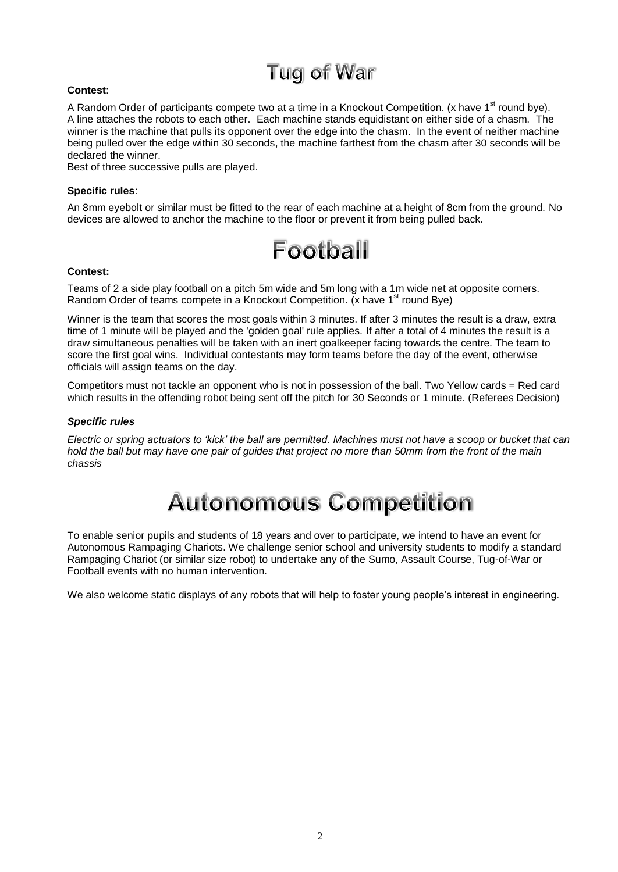## **Tug of War**

#### **Contest**:

A Random Order of participants compete two at a time in a Knockout Competition. (x have 1<sup>st</sup> round bye). A line attaches the robots to each other. Each machine stands equidistant on either side of a chasm. The winner is the machine that pulls its opponent over the edge into the chasm. In the event of neither machine being pulled over the edge within 30 seconds, the machine farthest from the chasm after 30 seconds will be declared the winner.

Best of three successive pulls are played.

#### **Specific rules**:

An 8mm eyebolt or similar must be fitted to the rear of each machine at a height of 8cm from the ground. No devices are allowed to anchor the machine to the floor or prevent it from being pulled back.



#### **Contest:**

Teams of 2 a side play football on a pitch 5m wide and 5m long with a 1m wide net at opposite corners. Random Order of teams compete in a Knockout Competition. (x have  $1<sup>st</sup>$  round Bye)

Winner is the team that scores the most goals within 3 minutes. If after 3 minutes the result is a draw, extra time of 1 minute will be played and the 'golden goal' rule applies. If after a total of 4 minutes the result is a draw simultaneous penalties will be taken with an inert goalkeeper facing towards the centre. The team to score the first goal wins. Individual contestants may form teams before the day of the event, otherwise officials will assign teams on the day.

Competitors must not tackle an opponent who is not in possession of the ball. Two Yellow cards = Red card which results in the offending robot being sent off the pitch for 30 Seconds or 1 minute. (Referees Decision)

#### *Specific rules*

*Electric or spring actuators to 'kick' the ball are permitted. Machines must not have a scoop or bucket that can hold the ball but may have one pair of guides that project no more than 50mm from the front of the main chassis*

# **Autonomous Competition**

To enable senior pupils and students of 18 years and over to participate, we intend to have an event for Autonomous Rampaging Chariots. We challenge senior school and university students to modify a standard Rampaging Chariot (or similar size robot) to undertake any of the Sumo, Assault Course, Tug-of-War or Football events with no human intervention.

We also welcome static displays of any robots that will help to foster young people's interest in engineering.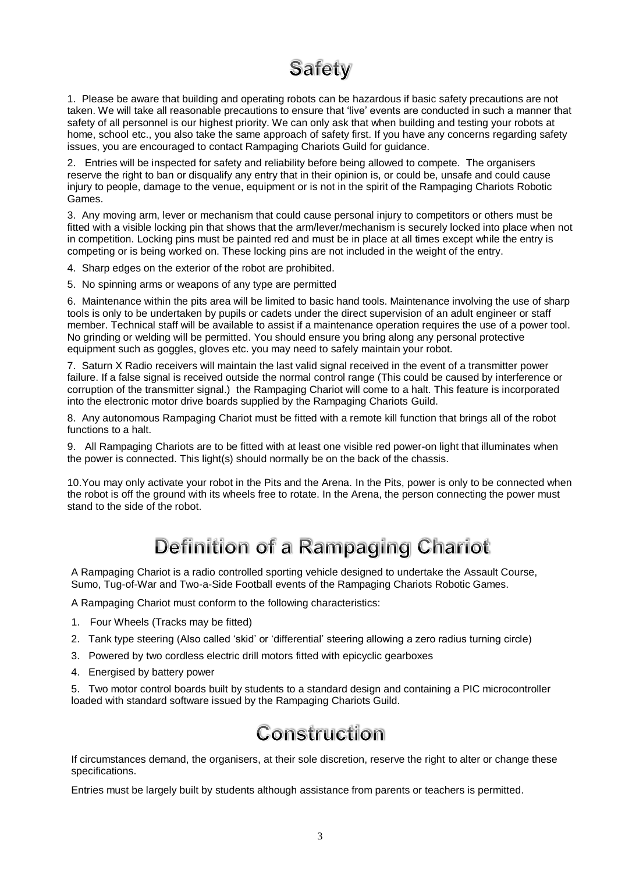### **Safety**

1. Please be aware that building and operating robots can be hazardous if basic safety precautions are not taken. We will take all reasonable precautions to ensure that 'live' events are conducted in such a manner that safety of all personnel is our highest priority. We can only ask that when building and testing your robots at home, school etc., you also take the same approach of safety first. If you have any concerns regarding safety issues, you are encouraged to contact Rampaging Chariots Guild for guidance.

2. Entries will be inspected for safety and reliability before being allowed to compete. The organisers reserve the right to ban or disqualify any entry that in their opinion is, or could be, unsafe and could cause injury to people, damage to the venue, equipment or is not in the spirit of the Rampaging Chariots Robotic Games.

3. Any moving arm, lever or mechanism that could cause personal injury to competitors or others must be fitted with a visible locking pin that shows that the arm/lever/mechanism is securely locked into place when not in competition. Locking pins must be painted red and must be in place at all times except while the entry is competing or is being worked on. These locking pins are not included in the weight of the entry.

4. Sharp edges on the exterior of the robot are prohibited.

5. No spinning arms or weapons of any type are permitted

6. Maintenance within the pits area will be limited to basic hand tools. Maintenance involving the use of sharp tools is only to be undertaken by pupils or cadets under the direct supervision of an adult engineer or staff member. Technical staff will be available to assist if a maintenance operation requires the use of a power tool. No grinding or welding will be permitted. You should ensure you bring along any personal protective equipment such as goggles, gloves etc. you may need to safely maintain your robot.

7. Saturn X Radio receivers will maintain the last valid signal received in the event of a transmitter power failure. If a false signal is received outside the normal control range (This could be caused by interference or corruption of the transmitter signal.) the Rampaging Chariot will come to a halt. This feature is incorporated into the electronic motor drive boards supplied by the Rampaging Chariots Guild.

8. Any autonomous Rampaging Chariot must be fitted with a remote kill function that brings all of the robot functions to a halt.

9. All Rampaging Chariots are to be fitted with at least one visible red power-on light that illuminates when the power is connected. This light(s) should normally be on the back of the chassis.

10.You may only activate your robot in the Pits and the Arena. In the Pits, power is only to be connected when the robot is off the ground with its wheels free to rotate. In the Arena, the person connecting the power must stand to the side of the robot.

### **Definition of a Rampaging Chariot**

A Rampaging Chariot is a radio controlled sporting vehicle designed to undertake the Assault Course, Sumo, Tug-of-War and Two-a-Side Football events of the Rampaging Chariots Robotic Games.

A Rampaging Chariot must conform to the following characteristics:

- 1. Four Wheels (Tracks may be fitted)
- 2. Tank type steering (Also called 'skid' or 'differential' steering allowing a zero radius turning circle)
- 3. Powered by two cordless electric drill motors fitted with epicyclic gearboxes
- 4. Energised by battery power

5. Two motor control boards built by students to a standard design and containing a PIC microcontroller loaded with standard software issued by the Rampaging Chariots Guild.

### Construction

If circumstances demand, the organisers, at their sole discretion, reserve the right to alter or change these specifications.

Entries must be largely built by students although assistance from parents or teachers is permitted.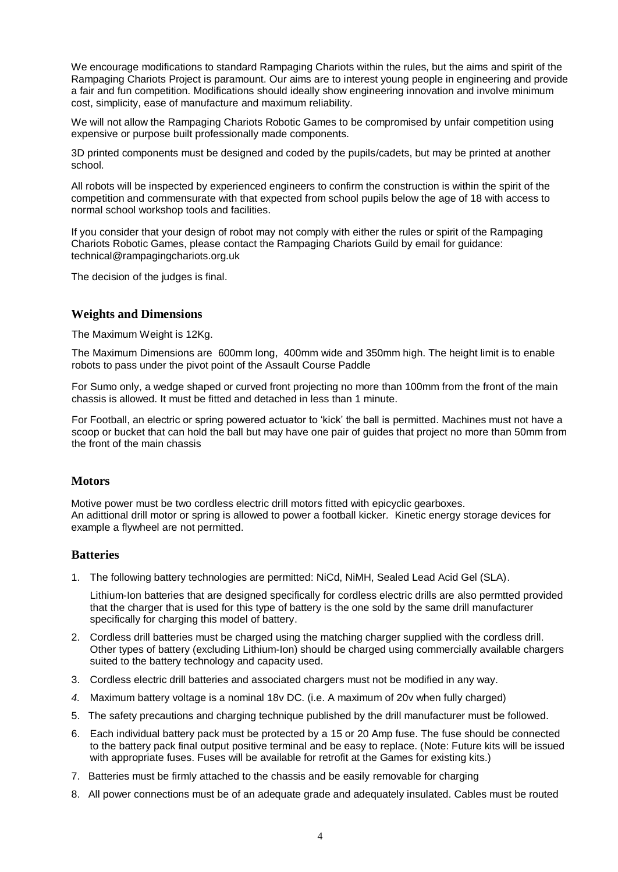We encourage modifications to standard Rampaging Chariots within the rules, but the aims and spirit of the Rampaging Chariots Project is paramount. Our aims are to interest young people in engineering and provide a fair and fun competition. Modifications should ideally show engineering innovation and involve minimum cost, simplicity, ease of manufacture and maximum reliability.

We will not allow the Rampaging Chariots Robotic Games to be compromised by unfair competition using expensive or purpose built professionally made components.

3D printed components must be designed and coded by the pupils/cadets, but may be printed at another school.

All robots will be inspected by experienced engineers to confirm the construction is within the spirit of the competition and commensurate with that expected from school pupils below the age of 18 with access to normal school workshop tools and facilities.

If you consider that your design of robot may not comply with either the rules or spirit of the Rampaging Chariots Robotic Games, please contact the Rampaging Chariots Guild by email for guidance: technical@rampagingchariots.org.uk

The decision of the judges is final.

#### **Weights and Dimensions**

The Maximum Weight is 12Kg.

The Maximum Dimensions are 600mm long, 400mm wide and 350mm high. The height limit is to enable robots to pass under the pivot point of the Assault Course Paddle

For Sumo only, a wedge shaped or curved front projecting no more than 100mm from the front of the main chassis is allowed. It must be fitted and detached in less than 1 minute.

For Football, an electric or spring powered actuator to 'kick' the ball is permitted. Machines must not have a scoop or bucket that can hold the ball but may have one pair of guides that project no more than 50mm from the front of the main chassis

#### **Motors**

Motive power must be two cordless electric drill motors fitted with epicyclic gearboxes. An adittional drill motor or spring is allowed to power a football kicker*.* Kinetic energy storage devices for example a flywheel are not permitted.

#### **Batteries**

1. The following battery technologies are permitted: NiCd, NiMH, Sealed Lead Acid Gel (SLA).

Lithium-Ion batteries that are designed specifically for cordless electric drills are also permtted provided that the charger that is used for this type of battery is the one sold by the same drill manufacturer specifically for charging this model of battery.

- 2. Cordless drill batteries must be charged using the matching charger supplied with the cordless drill. Other types of battery (excluding Lithium-Ion) should be charged using commercially available chargers suited to the battery technology and capacity used.
- 3. Cordless electric drill batteries and associated chargers must not be modified in any way.
- *4.* Maximum battery voltage is a nominal 18v DC. (i.e. A maximum of 20v when fully charged)
- 5. The safety precautions and charging technique published by the drill manufacturer must be followed.
- 6. Each individual battery pack must be protected by a 15 or 20 Amp fuse. The fuse should be connected to the battery pack final output positive terminal and be easy to replace. (Note: Future kits will be issued with appropriate fuses. Fuses will be available for retrofit at the Games for existing kits.)
- 7. Batteries must be firmly attached to the chassis and be easily removable for charging
- 8. All power connections must be of an adequate grade and adequately insulated. Cables must be routed